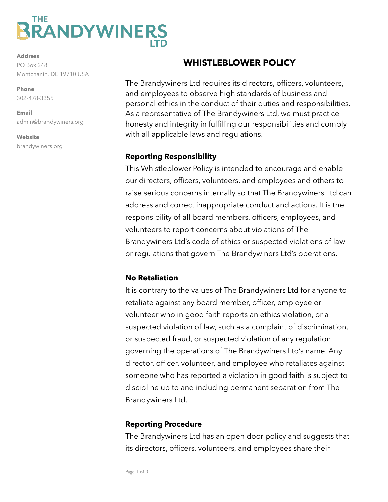# THE **RANDYWINERS**

**Address** PO Box 248 Montchanin, DE 19710 USA

**Phone**  302-478-3355

**Email**  admin@brandywiners.org

**Website** brandywiners.org

## **WHISTLEBLOWER POLICY**

The Brandywiners Ltd requires its directors, officers, volunteers, and employees to observe high standards of business and personal ethics in the conduct of their duties and responsibilities. As a representative of The Brandywiners Ltd, we must practice honesty and integrity in fulfilling our responsibilities and comply with all applicable laws and regulations.

#### **Reporting Responsibility**

This Whistleblower Policy is intended to encourage and enable our directors, officers, volunteers, and employees and others to raise serious concerns internally so that The Brandywiners Ltd can address and correct inappropriate conduct and actions. It is the responsibility of all board members, officers, employees, and volunteers to report concerns about violations of The Brandywiners Ltd's code of ethics or suspected violations of law or regulations that govern The Brandywiners Ltd's operations.

## **No Retaliation**

It is contrary to the values of The Brandywiners Ltd for anyone to retaliate against any board member, officer, employee or volunteer who in good faith reports an ethics violation, or a suspected violation of law, such as a complaint of discrimination, or suspected fraud, or suspected violation of any regulation governing the operations of The Brandywiners Ltd's name. Any director, officer, volunteer, and employee who retaliates against someone who has reported a violation in good faith is subject to discipline up to and including permanent separation from The Brandywiners Ltd.

## **Reporting Procedure**

The Brandywiners Ltd has an open door policy and suggests that its directors, officers, volunteers, and employees share their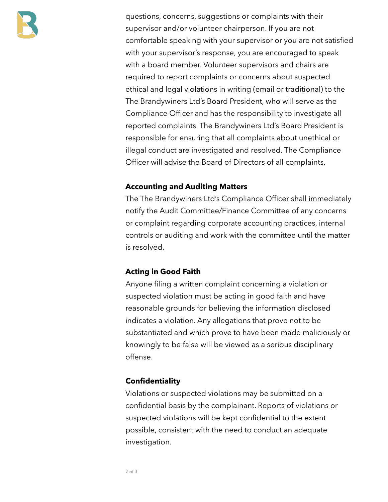

questions, concerns, suggestions or complaints with their supervisor and/or volunteer chairperson. If you are not comfortable speaking with your supervisor or you are not satisfied with your supervisor's response, you are encouraged to speak with a board member. Volunteer supervisors and chairs are required to report complaints or concerns about suspected ethical and legal violations in writing (email or traditional) to the The Brandywiners Ltd's Board President, who will serve as the Compliance Officer and has the responsibility to investigate all reported complaints. The Brandywiners Ltd's Board President is responsible for ensuring that all complaints about unethical or illegal conduct are investigated and resolved. The Compliance Officer will advise the Board of Directors of all complaints.

#### **Accounting and Auditing Matters**

The The Brandywiners Ltd's Compliance Officer shall immediately notify the Audit Committee/Finance Committee of any concerns or complaint regarding corporate accounting practices, internal controls or auditing and work with the committee until the matter is resolved.

#### **Acting in Good Faith**

Anyone filing a written complaint concerning a violation or suspected violation must be acting in good faith and have reasonable grounds for believing the information disclosed indicates a violation. Any allegations that prove not to be substantiated and which prove to have been made maliciously or knowingly to be false will be viewed as a serious disciplinary offense.

#### **Confidentiality**

Violations or suspected violations may be submitted on a confidential basis by the complainant. Reports of violations or suspected violations will be kept confidential to the extent possible, consistent with the need to conduct an adequate investigation.